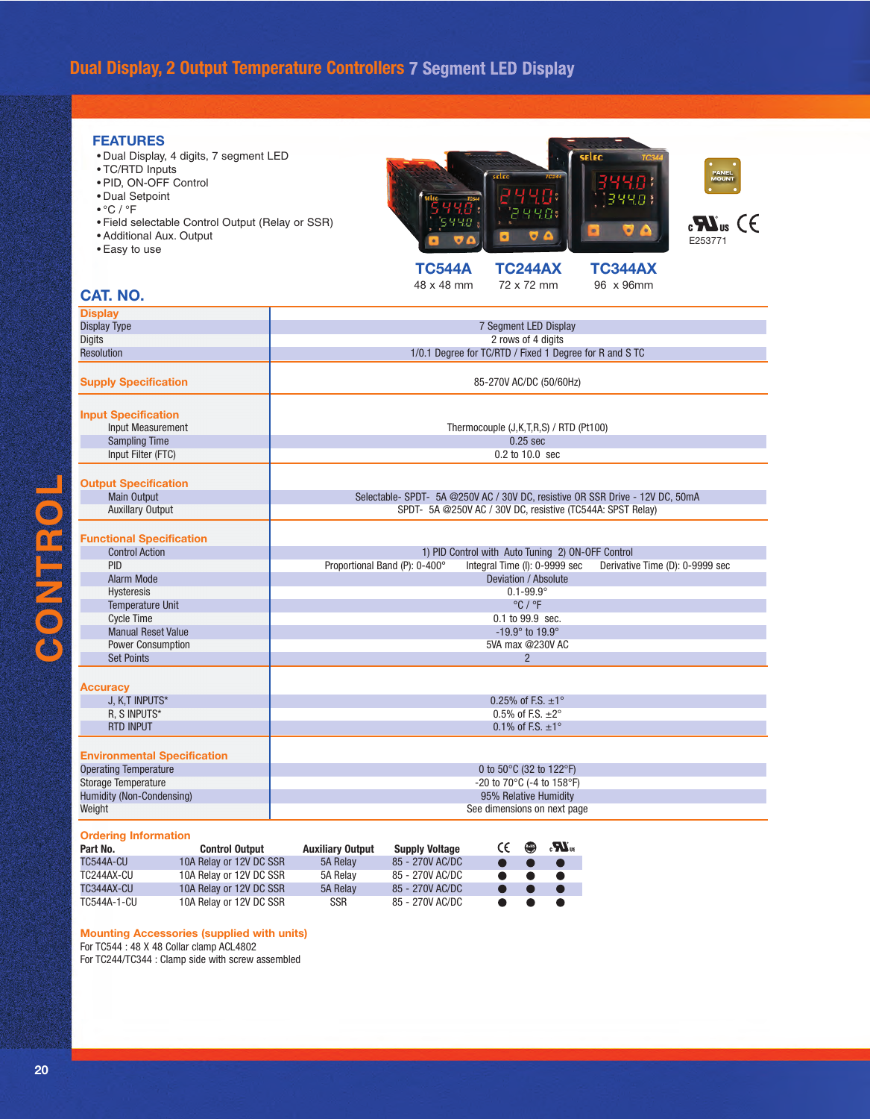## **Dual Display, 2 Output Temperature Controllers**

### **FEATURES**

- Dual Display, 4 digits, 7 segment LED
- TC/RTD Inputs
- PID, ON-OFF Control
- Dual Setpoint
- °C / °F
- Field selectable Control Output (Relay or SSR)
- Additional Aux. Output
- Easy to use





**TC544A TC244AX TC344AX**<br>48 x 48 mm 72 x 72 mm 96 x 96mm 72 x 72 mm

### **CAT. NO.**

| <b>Display</b>                                                          |                                                                                                                                             |  |  |  |
|-------------------------------------------------------------------------|---------------------------------------------------------------------------------------------------------------------------------------------|--|--|--|
| <b>Display Type</b>                                                     | 7 Segment LED Display                                                                                                                       |  |  |  |
| <b>Digits</b>                                                           | 2 rows of 4 digits                                                                                                                          |  |  |  |
| <b>Resolution</b>                                                       | 1/0.1 Degree for TC/RTD / Fixed 1 Degree for R and S TC                                                                                     |  |  |  |
| <b>Supply Specification</b>                                             | 85-270V AC/DC (50/60Hz)                                                                                                                     |  |  |  |
| <b>Input Specification</b><br>Input Measurement<br><b>Sampling Time</b> | Thermocouple (J,K,T,R,S) / RTD (Pt100)<br>$0.25$ sec                                                                                        |  |  |  |
| Input Filter (FTC)                                                      | 0.2 to 10.0 sec                                                                                                                             |  |  |  |
| <b>Output Specification</b><br>Main Output<br><b>Auxillary Output</b>   | Selectable- SPDT- 5A @250V AC / 30V DC, resistive OR SSR Drive - 12V DC, 50mA<br>SPDT- 5A @250V AC / 30V DC, resistive (TC544A: SPST Relay) |  |  |  |
| <b>Functional Specification</b>                                         |                                                                                                                                             |  |  |  |
| <b>Control Action</b>                                                   | 1) PID Control with Auto Tuning 2) ON-OFF Control                                                                                           |  |  |  |
| <b>PID</b>                                                              | Proportional Band (P): 0-400°<br>Integral Time (I): 0-9999 sec<br>Derivative Time (D): 0-9999 sec                                           |  |  |  |
| Alarm Mode                                                              | Deviation / Absolute                                                                                                                        |  |  |  |
| Hysteresis                                                              | $0.1 - 99.9^{\circ}$                                                                                                                        |  |  |  |
| <b>Temperature Unit</b>                                                 | $^{\circ}$ C / $^{\circ}$ F                                                                                                                 |  |  |  |
| <b>Cycle Time</b>                                                       | 0.1 to 99.9 sec.                                                                                                                            |  |  |  |
| <b>Manual Reset Value</b>                                               | -19.9 $^{\circ}$ to 19.9 $^{\circ}$                                                                                                         |  |  |  |
| Power Consumption                                                       | 5VA max @230V AC                                                                                                                            |  |  |  |
| <b>Set Points</b>                                                       | $\overline{2}$                                                                                                                              |  |  |  |
| <b>Accuracy</b>                                                         |                                                                                                                                             |  |  |  |
| J, K,T INPUTS*                                                          | 0.25% of F.S. $\pm 1^{\circ}$                                                                                                               |  |  |  |
| R. S INPUTS*                                                            | $0.5\%$ of F.S. $\pm 2^\circ$                                                                                                               |  |  |  |
| <b>RTD INPUT</b>                                                        | 0.1% of F.S. $\pm 1^{\circ}$                                                                                                                |  |  |  |
|                                                                         |                                                                                                                                             |  |  |  |
| <b>Environmental Specification</b>                                      |                                                                                                                                             |  |  |  |
| <b>Operating Temperature</b>                                            | 0 to 50°C (32 to 122°F)                                                                                                                     |  |  |  |
| <b>Storage Temperature</b>                                              | -20 to 70°C (-4 to 158°F)                                                                                                                   |  |  |  |
| Humidity (Non-Condensing)                                               | 95% Relative Humidity                                                                                                                       |  |  |  |
| Weight                                                                  | See dimensions on next page                                                                                                                 |  |  |  |
| <b>Ordering Information</b>                                             |                                                                                                                                             |  |  |  |
| Part No.<br><b>Control Output</b>                                       | $\mathbf{K}_0$ $\mathbf{W}_w$<br><b>Supply Voltage</b><br><b>Auxiliary Output</b>                                                           |  |  |  |



**Mounting Accessories (supplied with units)**

For TC544 : 48 X 48 Collar clamp ACL4802

For TC244/TC344 : Clamp side with screw assembled

**CONTROL** 

CONTROL